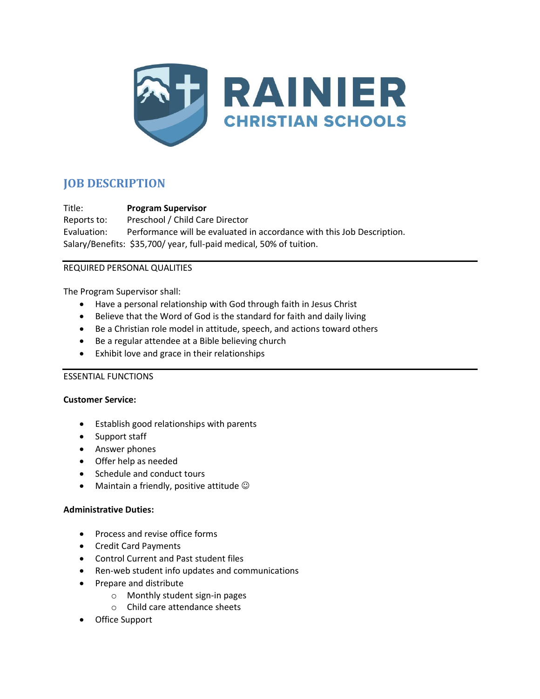

# **JOB DESCRIPTION**

Title: **Program Supervisor** Reports to: Preschool / Child Care Director Evaluation: Performance will be evaluated in accordance with this Job Description. Salary/Benefits: \$35,700/ year, full-paid medical, 50% of tuition.

## REQUIRED PERSONAL QUALITIES

The Program Supervisor shall:

- Have a personal relationship with God through faith in Jesus Christ
- Believe that the Word of God is the standard for faith and daily living
- Be a Christian role model in attitude, speech, and actions toward others
- Be a regular attendee at a Bible believing church
- Exhibit love and grace in their relationships

# ESSENTIAL FUNCTIONS

#### **Customer Service:**

- Establish good relationships with parents
- Support staff
- Answer phones
- Offer help as needed
- Schedule and conduct tours
- Maintain a friendly, positive attitude  $\odot$

# **Administrative Duties:**

- Process and revise office forms
- Credit Card Payments
- Control Current and Past student files
- Ren-web student info updates and communications
- Prepare and distribute
	- o Monthly student sign-in pages
	- o Child care attendance sheets
- Office Support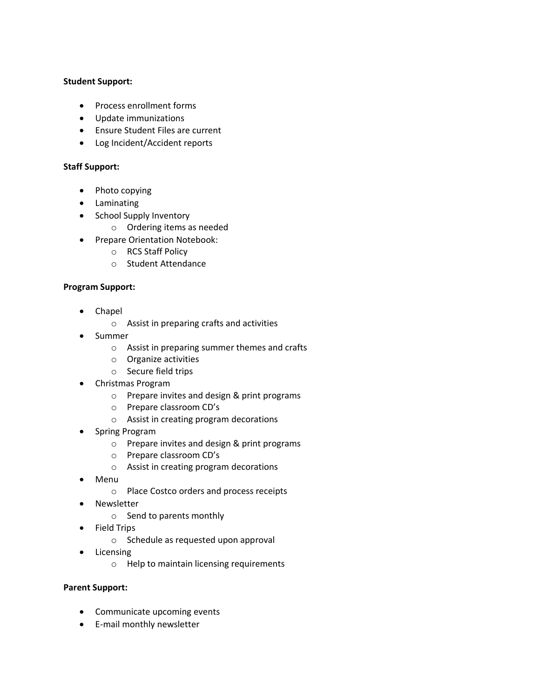#### **Student Support:**

- Process enrollment forms
- Update immunizations
- Ensure Student Files are current
- Log Incident/Accident reports

### **Staff Support:**

- Photo copying
- Laminating
- School Supply Inventory
	- o Ordering items as needed
- Prepare Orientation Notebook:
	- o RCS Staff Policy
	- o Student Attendance

#### **Program Support:**

- Chapel
	- o Assist in preparing crafts and activities
- Summer
	- o Assist in preparing summer themes and crafts
	- o Organize activities
	- o Secure field trips
- Christmas Program
	- o Prepare invites and design & print programs
	- o Prepare classroom CD's
	- o Assist in creating program decorations
- Spring Program
	- o Prepare invites and design & print programs
	- o Prepare classroom CD's
	- o Assist in creating program decorations
- Menu
	- o Place Costco orders and process receipts
- Newsletter
	- o Send to parents monthly
- Field Trips
	- o Schedule as requested upon approval
- **Licensing** 
	- o Help to maintain licensing requirements

### **Parent Support:**

- Communicate upcoming events
- E-mail monthly newsletter